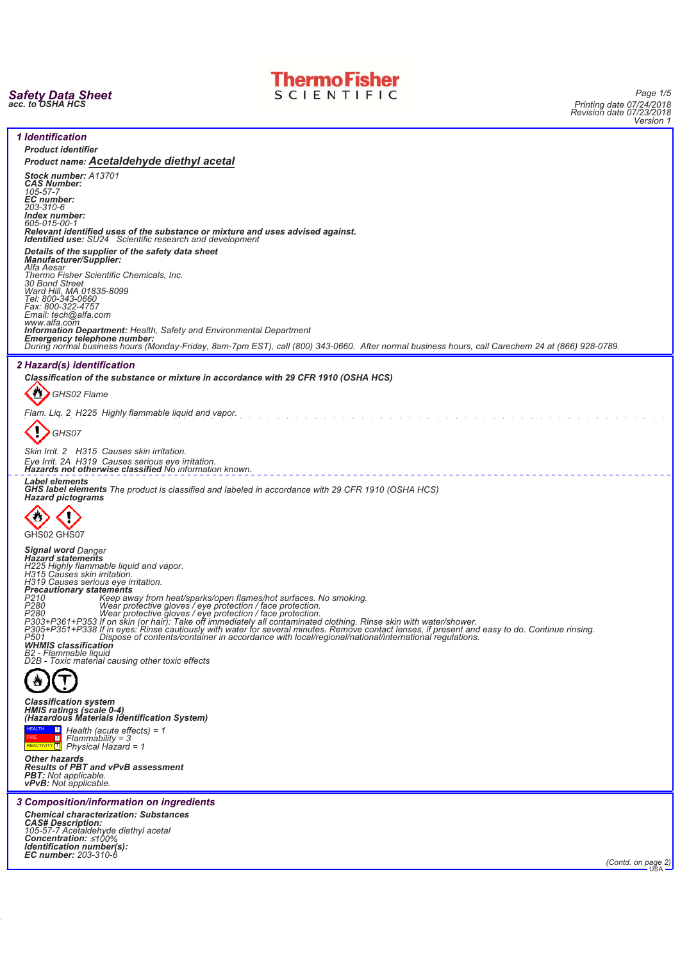



*Page 1/5 Printing date 07/24/2018 Revision date 07/23/2018 Version 1*

|                                                                                                                                                                                                                                            | ווטוסוס            |
|--------------------------------------------------------------------------------------------------------------------------------------------------------------------------------------------------------------------------------------------|--------------------|
| <i><b>1</b></i> Identification                                                                                                                                                                                                             |                    |
| <b>Product identifier</b>                                                                                                                                                                                                                  |                    |
| Product name: Acetaldehyde diethyl acetal                                                                                                                                                                                                  |                    |
| Stock number: A13701<br><b>CAS Number:</b>                                                                                                                                                                                                 |                    |
| 105-57-7<br><b>EC</b> number:                                                                                                                                                                                                              |                    |
| 203-310-6<br>Index number:                                                                                                                                                                                                                 |                    |
| 605-015-00-1                                                                                                                                                                                                                               |                    |
| Relevant identified uses of the substance or mixture and uses advised against.<br>Identified use: SU24 Scientific research and development                                                                                                 |                    |
| Details of the supplier of the safety data sheet<br><b>Manufacturer/Supplier:</b>                                                                                                                                                          |                    |
| Alfa Aesar<br>Thermo Fisher Scientific Chemicals, Inc.<br>30 Bond Street                                                                                                                                                                   |                    |
|                                                                                                                                                                                                                                            |                    |
| Ward Hill, MA 01835-8099<br>Tel: 800-343-0660<br>Fax: 800-322-4757                                                                                                                                                                         |                    |
| Email: tech@alfa.com<br>www.alfa.com                                                                                                                                                                                                       |                    |
| <b>Information Department:</b> Health, Safety and Environmental Department                                                                                                                                                                 |                    |
| Emergency telephone number:<br>During normal business hours (Monday-Friday, 8am-7pm EST), call (800) 343-0660. After normal business hours, call Carechem 24 at (866) 928-0789.                                                            |                    |
|                                                                                                                                                                                                                                            |                    |
| 2 Hazard(s) identification<br>Classification of the substance or mixture in accordance with 29 CFR 1910 (OSHA HCS)                                                                                                                         |                    |
| GHS02 Flame                                                                                                                                                                                                                                |                    |
|                                                                                                                                                                                                                                            |                    |
| Flam. Liq. 2 H225 Highly flammable liquid and vapor.                                                                                                                                                                                       |                    |
| GHS07                                                                                                                                                                                                                                      |                    |
| Skin Irrit. 2 H315 Causes skin irritation.<br>Eye Irrit. 2A H319 Causes serious eye irritation.<br>Hazards not otherwise classified No information known.                                                                                  |                    |
| <b>Label elements</b>                                                                                                                                                                                                                      |                    |
| <b>GHS label elements</b> The product is classified and labeled in accordance with 29 CFR 1910 (OSHA HCS)<br><b>Hazard pictograms</b>                                                                                                      |                    |
|                                                                                                                                                                                                                                            |                    |
| GHS02 GHS07                                                                                                                                                                                                                                |                    |
| <b>Signal word Danger</b>                                                                                                                                                                                                                  |                    |
| <b>Hazard statements</b><br>H225 Highly flammable liquid and vapor.                                                                                                                                                                        |                    |
| H315 Causes skin irritation.                                                                                                                                                                                                               |                    |
| H319 Causes serious eye irritation.<br>Precautionary statements                                                                                                                                                                            |                    |
| P210<br>P210 Keep away from heat/sparks/open flames/hot surfaces. No smoking.<br>P280 Wear protective gloves / eye protection / face protection.<br>P280 Wear protective gloves / eye protection / face protection.<br>P303+P361+P353 If o |                    |
|                                                                                                                                                                                                                                            |                    |
| P501<br>Dispose of contents/container in accordance with local/regional/national/international regulations.                                                                                                                                |                    |
| <b>WHMIS</b> classification<br>B2 - Flammable liquid                                                                                                                                                                                       |                    |
| D2B - Toxic material causing other toxic effects                                                                                                                                                                                           |                    |
|                                                                                                                                                                                                                                            |                    |
| <b>Classification system</b>                                                                                                                                                                                                               |                    |
| HMIS ratings (scale 0-4)<br>(Hazardous Materials Identification System)                                                                                                                                                                    |                    |
| $\Box$ Health (acute effects) = 1                                                                                                                                                                                                          |                    |
| $Flammablity = 3$<br>REACTIVITY <sup>1</sup><br>Physical Hazard = 1                                                                                                                                                                        |                    |
| <b>Other hazards</b><br><b>Results of PBT and vPvB assessment</b>                                                                                                                                                                          |                    |
| <b>PBT:</b> Not applicable.<br><b>vPvB:</b> Not applicable.                                                                                                                                                                                |                    |
| 3 Composition/information on ingredients                                                                                                                                                                                                   |                    |
| <b>Chemical characterization: Substances</b>                                                                                                                                                                                               |                    |
| <b>CAS# Description:</b><br>105-57-7 Acetaldehyde diethyl acetal                                                                                                                                                                           |                    |
| Concentration: ≤100%<br>Identification number(s):                                                                                                                                                                                          |                    |
| EC number: 203-310-6                                                                                                                                                                                                                       |                    |
|                                                                                                                                                                                                                                            | (Contd. on page 2) |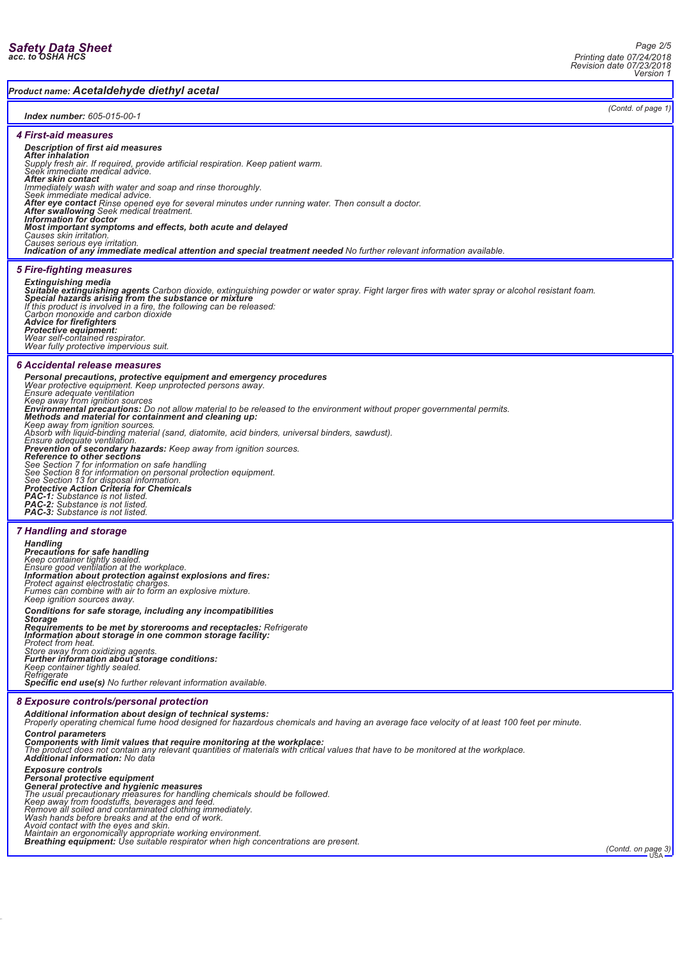*(Contd. of page 1)*

*Product name: Acetaldehyde diethyl acetal*

# *Index number: 605-015-00-1*

*4 First-aid measures*

# *Description of first aid measures*

After inhalation<br>Supply fresh air. If required, provide artificial respiration. Keep patient warm.<br>Seek immediate medical advice.<br>After skin contact<br>Immediately wash with water and soap and rinse thoroughly.<br>Seek immediate

*After eye contact Rinse opened eye for several minutes under running water. Then consult a doctor. After swallowing Seek medical treatment. Information for doctor*

*Most important symptoms and effects, both acute and delayed*

*Causes skin irritation. Causes serious eye irritation. Indication of any immediate medical attention and special treatment needed No further relevant information available.*

# *5 Fire-fighting measures*

**Extinguishing media**<br>**Suitable extinguishing agents** Carbon dioxide, extinguishing powder or water spray. Fight larger fires with water spray or alcohol resistant foam.<br>Special hazards arising from the substance or mixtur

*Advice for firefighters Protective equipment: Wear self-contained respirator. Wear fully protective impervious suit.*

#### *6 Accidental release measures*

**Personal precautions, protective equipment and emergency procedures**<br>Wear protective equipment. Keep unprotected persons away.<br>Ensure adequate ventilation<br>Keep away from ignition sources<br>**Environmental precautions:** Do no *Keep away from ignition sources. Absorb with liquid-binding material (sand, diatomite, acid binders, universal binders, sawdust).* Ensure adequate ventilation.<br>**Prevention of secondary hazards:** Keep away from ignition sources.<br>**Reference to other sections**<br>See Section 7 for information on safe handling<br>See Section 8 for information on personal protec *PAC-1: Substance is not listed. PAC-2: Substance is not listed. PAC-3: Substance is not listed.*

# *7 Handling and storage*

*Handling Precautions for safe handling Keep container tightly sealed. Ensure good ventilation at the workplace. Information about protection against explosions and fires: Protect against electrostatic charges. Fumes can combine with air to form an explosive mixture. Keep ignition sources away. Conditions for safe storage, including any incompatibilities Storage Requirements to be met by storerooms and receptacles: Refrigerate Information about storage in one common storage facility: Protect from heat. Store away from oxidizing agents. Further information about storage conditions: Keep container tightly sealed. Refrigerate*

*Specific end use(s) No further relevant information available.*

### *8 Exposure controls/personal protection*

*Additional information about design of technical systems: Properly operating chemical fume hood designed for hazardous chemicals and having an average face velocity of at least 100 feet per minute.*

### *Control parameters*

**Components with limit values that require monitoring at the workplace:**<br>The product does not contain any relevant quantities of materials with critical values that have to be monitored at the workplace.<br>**Additional inform** 

Exposure controls<br>**Personal protective equipment**<br>**General protective and hygienic measures**<br>The usual precautionary measures for handling chemicals should be followed.<br>Keep away from foodstuffs, beverages and feed.<br>Remove

Avoid contact with the eyes and skin.<br>Maintain an ergonomically appropriate working environment.<br>**Breathing equipment:** Use suitable respirator when high concentrations are present.<br>Preath**ing equipment:** Use suitable resp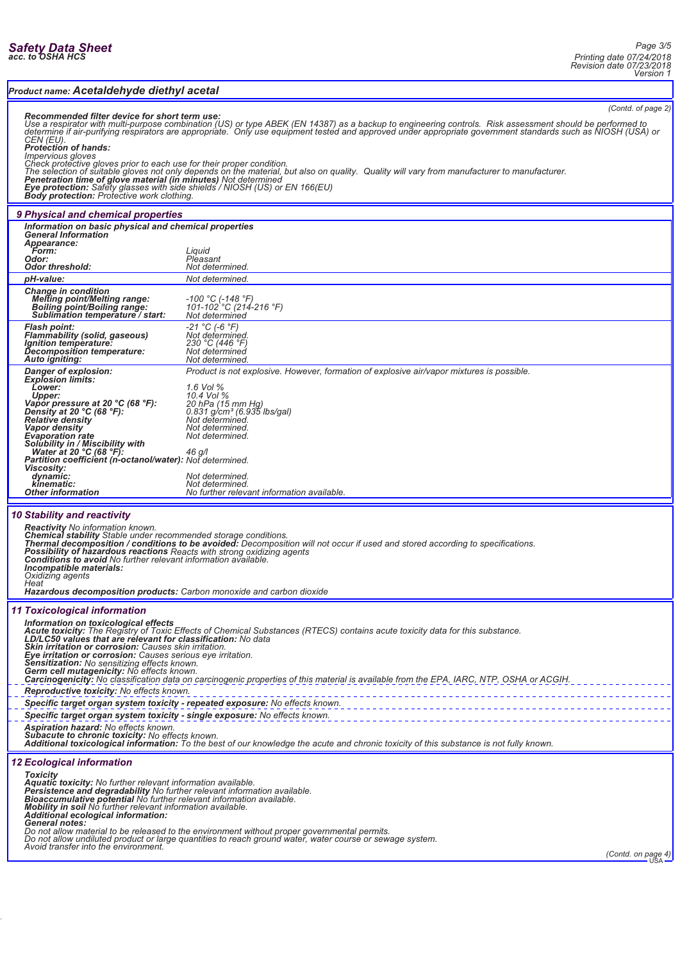## *Product name: Acetaldehyde diethyl acetal*

*(Contd. of page 2)*

Recommended filter device for short term use:<br>Use a respirator with multi-purpose combination (US) or type ABEK (EN 14387) as a backup to engineering controls. Risk assessment should be performed to<br>determine if air-purify

Impervious gloves<br>Check protective gloves prior to each use for their proper condition.<br>The selection of suitable gloves not only depends on the material, but also on quality. Quality will vary from manufacturer to manufac

#### *9 Physical and chemical properties*

| <i><b>31 mysical and chemical properties</b></i>                                                                                                                                                                                                                                                                                                                                                                             |                                                                                                                                                                                                                                                                                                                                                     |
|------------------------------------------------------------------------------------------------------------------------------------------------------------------------------------------------------------------------------------------------------------------------------------------------------------------------------------------------------------------------------------------------------------------------------|-----------------------------------------------------------------------------------------------------------------------------------------------------------------------------------------------------------------------------------------------------------------------------------------------------------------------------------------------------|
| Information on basic physical and chemical properties<br><b>General Information</b><br>Appearance:<br>Form:<br>Odor:<br><b>Odor threshold:</b>                                                                                                                                                                                                                                                                               | Liguid<br>Pleasant<br>Not determined.                                                                                                                                                                                                                                                                                                               |
| pH-value:                                                                                                                                                                                                                                                                                                                                                                                                                    | Not determined.                                                                                                                                                                                                                                                                                                                                     |
| <b>Change in condition</b><br><b>Melting point/Melting range:</b><br><b>Boiling point/Boiling range:</b><br>Sublimation temperature / start:                                                                                                                                                                                                                                                                                 | -100 °C (-148 °F)<br>101-102 °C (214-216 °F)<br>Not determined                                                                                                                                                                                                                                                                                      |
| <b>Flash point:</b><br><b>Flammability (solid, gaseous)</b><br>Ignition temperature:<br>Decomposition temperature:<br>Auto igniting:                                                                                                                                                                                                                                                                                         | $-21$ °C (-6 °F)<br>Not determined.<br>230 °C (446 °F)<br>Not determined<br>Not determined.                                                                                                                                                                                                                                                         |
| Danger of explosion:<br><b>Explosion limits:</b><br>Lower:<br>Upper:<br>Vapor pressure at 20 °C (68 °F):<br>Density at 20 $°C$ (68 $°F$ ):<br><b>Relative density</b><br>Vapor density<br><b>Evaporation rate</b><br>Solubility in / Miscibility with<br>Water at 20 $°C$ (68 $°F$ ):<br>Partition coefficient (n-octanol/water): Not determined.<br><b>Viscosity:</b><br>dynamic:<br>kinematic:<br><b>Other information</b> | Product is not explosive. However, formation of explosive air/vapor mixtures is possible.<br>$1.6$ Vol $%$<br>10.4 Vol %<br>20 hPa (15 mm Hq)<br>$0.831$ g/cm <sup>3</sup> (6.935 lbs/gal)<br>Not determined.<br>Not determined.<br>Not determined.<br>$46$ g/l<br>Not determined.<br>Not determined.<br>No further relevant information available. |
|                                                                                                                                                                                                                                                                                                                                                                                                                              |                                                                                                                                                                                                                                                                                                                                                     |
|                                                                                                                                                                                                                                                                                                                                                                                                                              |                                                                                                                                                                                                                                                                                                                                                     |

*10 Stability and reactivity*

Reactivity No information known.<br>Chemical stability Stable under recommended storage conditions.<br>Thermal decomposition / conditions to be avoided: Decomposition will not occur if used and stored according to specifications

*Heat Hazardous decomposition products: Carbon monoxide and carbon dioxide*

# *11 Toxicological information*

| 11 TOXICOIOGICAI INTORMATION                                                                                                                                                                                                                                                                                                                                                                                                                                                                                                                                                                                                       |  |
|------------------------------------------------------------------------------------------------------------------------------------------------------------------------------------------------------------------------------------------------------------------------------------------------------------------------------------------------------------------------------------------------------------------------------------------------------------------------------------------------------------------------------------------------------------------------------------------------------------------------------------|--|
| Information on toxicological effects<br><b>Acute toxicity:</b> The Registry of Toxic Effects of Chemical Substances (RTECS) contains acute toxicity data for this substance.<br>LD/LC50 values that are relevant for classification: No data<br><b>Skin irritation or corrosion:</b> Causes skin irritation.<br>Eye irritation or corrosion: Causes serious eye irritation.<br><b>Sensitization:</b> No sensitizing effects known.<br><b>Germ cell mutagenicity:</b> No effects known.<br>Carcinogenicity: No classification data on carcinogenic properties of this material is available from the EPA, IARC, NTP, OSHA or ACGIH. |  |
| Reproductive toxicity: No effects known.                                                                                                                                                                                                                                                                                                                                                                                                                                                                                                                                                                                           |  |
| Specific target organ system toxicity - repeated exposure: No effects known.                                                                                                                                                                                                                                                                                                                                                                                                                                                                                                                                                       |  |
| Specific target organ system toxicity - single exposure: No effects known.                                                                                                                                                                                                                                                                                                                                                                                                                                                                                                                                                         |  |
| Aspiration hazard: No effects known.<br><b>Subacute to chronic toxicity:</b> No effects known.<br>Additional toxicological information: To the best of our knowledge the acute and chronic toxicity of this substance is not fully known.                                                                                                                                                                                                                                                                                                                                                                                          |  |
| <b>12 Ecological information</b>                                                                                                                                                                                                                                                                                                                                                                                                                                                                                                                                                                                                   |  |
| Toxicity<br>Aquatic toxicity: No further relevant information available.<br>Persistence and degradability No further relevant information available.<br>Bioaccumulative potential No further relevant information available.<br>Mobility in soil No further relevant information available.<br>Additional ecological information:<br>General notes:<br>Do not allow material to be released to the environment without proper governmental permits.<br>De not ellew undiluted product or large quantities to resolucing water, water equral as equipments                                                                          |  |

*Do not allow undiluted product or large quantities to reach ground water, water course or sewage system. Avoid transfer into the environment.*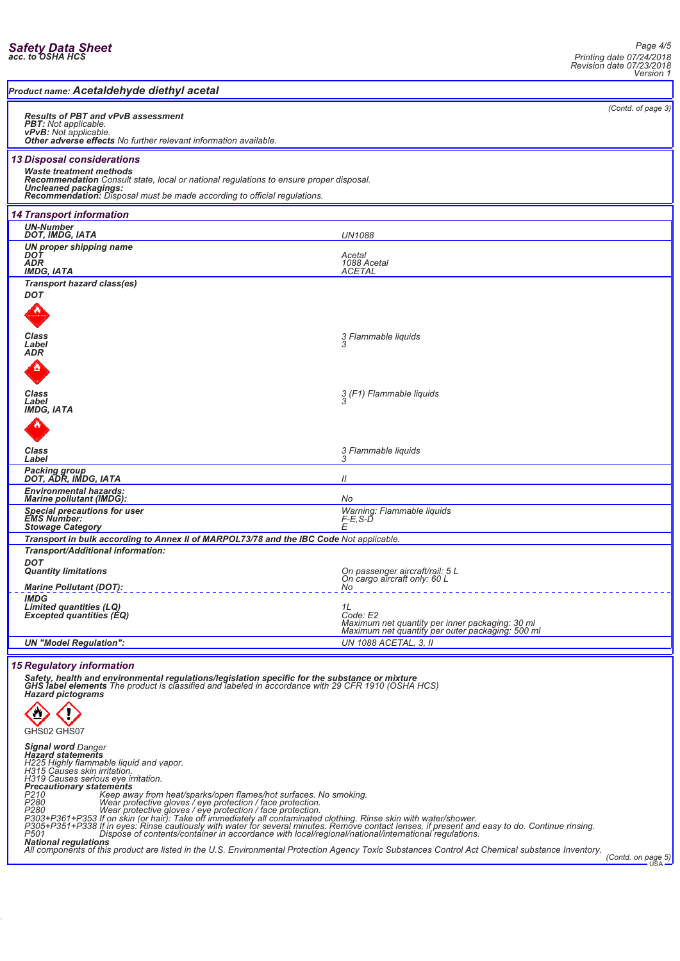| Product name: Acetaldehyde diethyl acetal                                                                                                                                                                                                                                   |                                                                                                                             |                    |
|-----------------------------------------------------------------------------------------------------------------------------------------------------------------------------------------------------------------------------------------------------------------------------|-----------------------------------------------------------------------------------------------------------------------------|--------------------|
| <b>Results of PBT and vPvB assessment</b><br><b>PBT:</b> Not applicable.<br>vPvB: Not applicable.<br>Other adverse effects No further relevant information available.                                                                                                       |                                                                                                                             | (Contd. of page 3) |
| <b>13 Disposal considerations</b><br><b>Waste treatment methods</b><br>Recommendation Consult state, local or national regulations to ensure proper disposal.<br>Uncleaned packagings:<br>Recommendation: Disposal must be made according to official regulations.          |                                                                                                                             |                    |
| <b>14 Transport information</b>                                                                                                                                                                                                                                             |                                                                                                                             |                    |
| <b>UN-Number</b><br>DOT, IMDG, IATA                                                                                                                                                                                                                                         | <b>UN1088</b>                                                                                                               |                    |
| UN proper shipping name<br>DOT<br>ADR<br><b>IMDG, IATA</b>                                                                                                                                                                                                                  | Acetal<br>1088 Acetal<br><b>ACETAL</b>                                                                                      |                    |
| <b>Transport hazard class(es)</b><br><b>DOT</b>                                                                                                                                                                                                                             |                                                                                                                             |                    |
| <b>Class</b><br>Label<br>ADR                                                                                                                                                                                                                                                | 3 Flammable liquids                                                                                                         |                    |
| Class<br>Label<br><b>IMDG, IATA</b>                                                                                                                                                                                                                                         | 3 (F1) Flammable liquids<br>3                                                                                               |                    |
| Class<br>Label                                                                                                                                                                                                                                                              | 3 Flammable liquids                                                                                                         |                    |
| Packing group<br>DOT, ADR, IMDG, IATA                                                                                                                                                                                                                                       | 11                                                                                                                          |                    |
| <b>Environmental hazards:</b><br><b>Marine pollutant (IMDG):</b>                                                                                                                                                                                                            | No                                                                                                                          |                    |
| <b>Special precautions for user</b><br><b>EMS Number:</b><br><b>Stowage Category</b>                                                                                                                                                                                        | Warning: Flammable liquids<br>F-E,S-D<br>F                                                                                  |                    |
| Transport in bulk according to Annex II of MARPOL73/78 and the IBC Code Not applicable.                                                                                                                                                                                     |                                                                                                                             |                    |
| Transport/Additional information:<br><b>DOT</b><br><b>Quantity limitations</b>                                                                                                                                                                                              | On passenger aircraft/rail: 5 L<br>On cargo aircraft only: 60 L                                                             |                    |
| <b>Marine Pollutant (DOT):</b><br><b>IMDG</b><br>Limited quantities (LQ)<br><b>Excepted quantities (EQ)</b>                                                                                                                                                                 | No<br>1L<br>Code: E2<br>Maximum net quantity per inner packaging: 30 ml<br>Maximum net quantity per outer packaging: 500 ml |                    |
| <b>UN "Model Regulation":</b>                                                                                                                                                                                                                                               | UN 1088 ACETAL, 3, II                                                                                                       |                    |
| <b>15 Regulatory information</b><br>Safety, health and environmental regulations/legislation specific for the substance or mixture<br><b>GHS label elements</b> The product is classified and labeled in accordance with 29 CFR 1910 (OSHA HCS)<br><b>Hazard pictograms</b> |                                                                                                                             |                    |

GHS02 GHS07

*Signal word Danger Hazard statements H225 Highly flammable liquid and vapor. H315 Causes skin irritation. H319 Causes serious eye irritation. Precautionary statements P210 Keep away from heat/sparks/open flames/hot surfaces. No smoking. P280 Wear protective gloves / eye protection / face protection.*

P303+P361+P353 If on skin (or hair): Take off immediately all contaminated clothing. Rinse skin with water/shower.<br>P305+P351+P338 If in eyes: Rinse cautiously with water for several minutes. Remove contact lenses, if prese